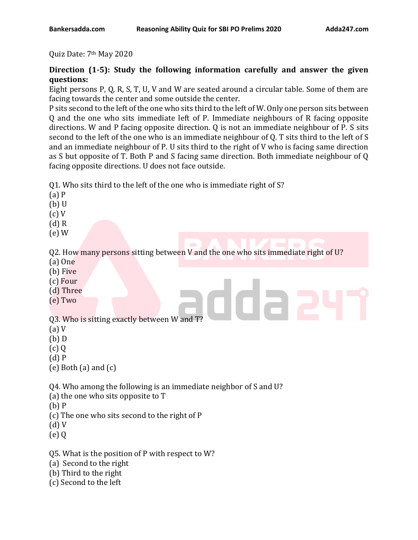Quiz Date: 7th May 2020

## **Direction (1-5): Study the following information carefully and answer the given questions:**

Eight persons P, Q, R, S, T, U, V and W are seated around a circular table. Some of them are facing towards the center and some outside the center.

P sits second to the left of the one who sits third to the left of W. Only one person sits between Q and the one who sits immediate left of P. Immediate neighbours of R facing opposite directions. W and P facing opposite direction. Q is not an immediate neighbour of P. S sits second to the left of the one who is an immediate neighbour of Q. T sits third to the left of S and an immediate neighbour of P. U sits third to the right of V who is facing same direction as S but opposite of T. Both P and S facing same direction. Both immediate neighbour of Q facing opposite directions. U does not face outside.

Q1. Who sits third to the left of the one who is immediate right of S?

(a) P (b) U (c) V (d) R (e) W Q2. How many persons sitting between V and the one who sits immediate right of U? (a) One (b) Five (c) Four (d) Three (e) Two (d) Three<br>
(e) Two<br>
03. Who is sitting exactly between W and T? (a) V (b) D (c) Q (d) P (e) Both (a) and (c) Q4. Who among the following is an immediate neighbor of S and U? (a) the one who sits opposite to T (b) P (c) The one who sits second to the right of P (d) V (e) Q Q5. What is the position of P with respect to W? (a) Second to the right (b) Third to the right (c) Second to the left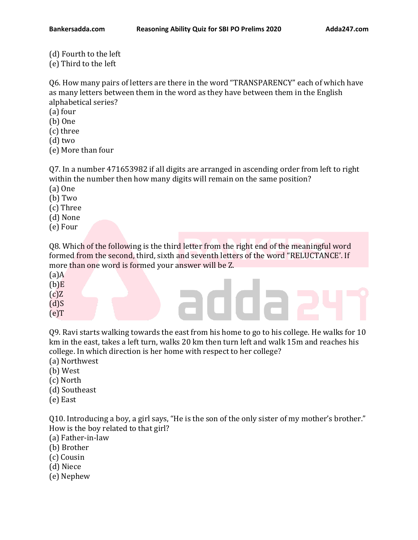- (d) Fourth to the left
- (e) Third to the left

Q6. How many pairs of letters are there in the word "TRANSPARENCY" each of which have as many letters between them in the word as they have between them in the English alphabetical series?

- (a) four
- (b) One
- (c) three
- (d) two
- (e) More than four

Q7. In a number 471653982 if all digits are arranged in ascending order from left to right within the number then how many digits will remain on the same position?

- (a) One
- (b) Two
- (c) Three
- (d) None
- (e) Four

Q8. Which of the following is the third letter from the right end of the meaningful word formed from the second, third, sixth and seventh letters of the word "RELUCTANCE'. If more than one word is formed your answer will be Z.

- $(a)$ A  $(b)$  $E$
- $(c)$  $Z$
- $(d)S$
- $(e)T$

Q9. Ravi starts walking towards the east from his home to go to his college. He walks for 10 km in the east, takes a left turn, walks 20 km then turn left and walk 15m and reaches his college. In which direction is her home with respect to her college?

- (a) Northwest
- (b) West
- (c) North
- (d) Southeast
- (e) East

Q10. Introducing a boy, a girl says, "He is the son of the only sister of my mother's brother." How is the boy related to that girl?

- (a) Father-in-law
- (b) Brother
- (c) Cousin
- (d) Niece
- (e) Nephew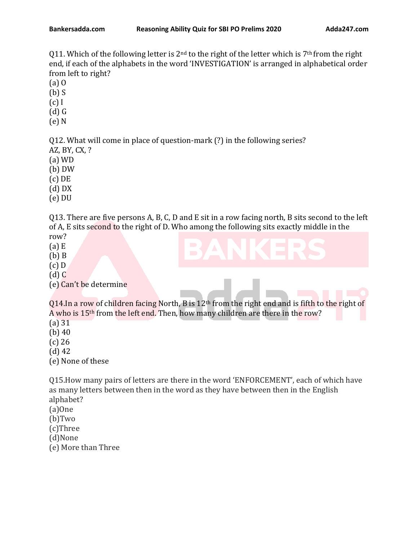Q11. Which of the following letter is  $2<sup>nd</sup>$  to the right of the letter which is  $7<sup>th</sup>$  from the right end, if each of the alphabets in the word 'INVESTIGATION' is arranged in alphabetical order from left to right?

(a) O

(b) S

(c) I

(d) G

(e) N

Q12. What will come in place of question-mark (?) in the following series? AZ, BY, CX, ?

(a) WD

(b) DW

(c) DE

(d) DX

(e) DU

Q13. There are five persons A, B, C, D and E sit in a row facing north, B sits second to the left of A, E sits second to the right of D. Who among the following sits exactly middle in the

row?

(a) E

(b) B

(c) D

(d) C

(e) Can't be determine

Q14.In a row of children facing North, B is  $12<sup>th</sup>$  from the right end and is fifth to the right of A who is 15th from the left end. Then, how many children are there in the row?

(a) 31

(b) 40

(c) 26

(d) 42

(e) None of these

Q15.How many pairs of letters are there in the word 'ENFORCEMENT', each of which have as many letters between then in the word as they have between then in the English alphabet?

(a)One

(b)Two

(c)Three

(d)None

(e) More than Three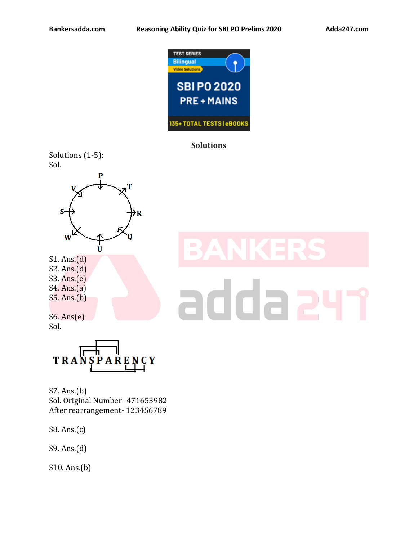

## **Solutions**

Solutions (1-5): Sol.



S1. Ans.(d) S2. Ans.(d) S3. Ans.(e) S4. Ans.(a) S5. Ans.(b)

S6. Ans(e) Sol.



S7. Ans.(b) Sol. Original Number- 471653982 After rearrangement- 123456789

S8. Ans.(c)

S9. Ans.(d)

S10. Ans.(b)

## adda 2